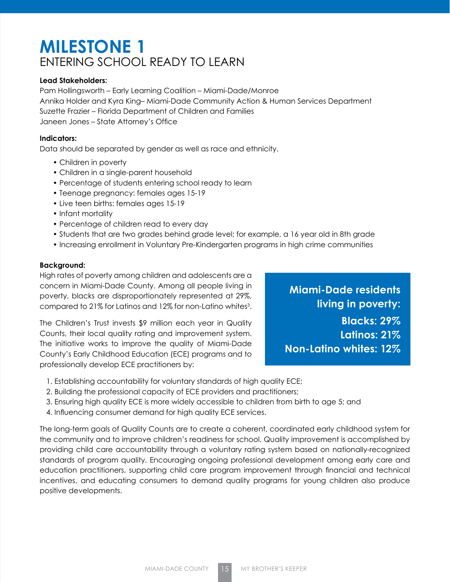# **MILESTONE 1** ENTERING SCHOOL READY TO LEARN

# **Lead Stakeholders:**

Pam Hollingsworth – Early Learning Coalition – Miami-Dade/Monroe Annika Holder and Kyra King– Miami-Dade Community Action & Human Services Department Suzette Frazier – Florida Department of Children and Families Janeen Jones – State Attorney's Office

# **Indicators:**

Data should be separated by gender as well as race and ethnicity.

- Children in poverty
- Children in a single-parent household
- Percentage of students entering school ready to learn
- Teenage pregnancy: females ages 15-19
- Live teen births: females ages 15-19
- Infant mortality
- Percentage of children read to every day
- Students that are two grades behind grade level; for example, a 16 year old in 8th grade
- Increasing enrollment in Voluntary Pre-Kindergarten programs in high crime communities

# **Background:**

High rates of poverty among children and adolescents are a concern in Miami-Dade County. Among all people living in poverty, blacks are disproportionately represented at 29%, compared to 21% for Latinos and 12% for non-Latino whites $^3$ .

The Children's Trust invests \$9 million each year in Quality Counts, their local quality rating and improvement system. The initiative works to improve the quality of Miami-Dade County's Early Childhood Education (ECE) programs and to professionally develop ECE practitioners by:

**Miami-Dade residents living in poverty: Blacks: 29% Latinos: 21% Non-Latino whites: 12%**

- 1. Establishing accountability for voluntary standards of high quality ECE;
- 2. Building the professional capacity of ECE providers and practitioners;
- 3. Ensuring high quality ECE is more widely accessible to children from birth to age 5; and
- 4. Influencing consumer demand for high quality ECE services.

The long-term goals of Quality Counts are to create a coherent, coordinated early childhood system for the community and to improve children's readiness for school. Quality improvement is accomplished by providing child care accountability through a voluntary rating system based on nationally-recognized standards of program quality. Encouraging ongoing professional development among early care and education practitioners, supporting child care program improvement through financial and technical incentives, and educating consumers to demand quality programs for young children also produce positive developments.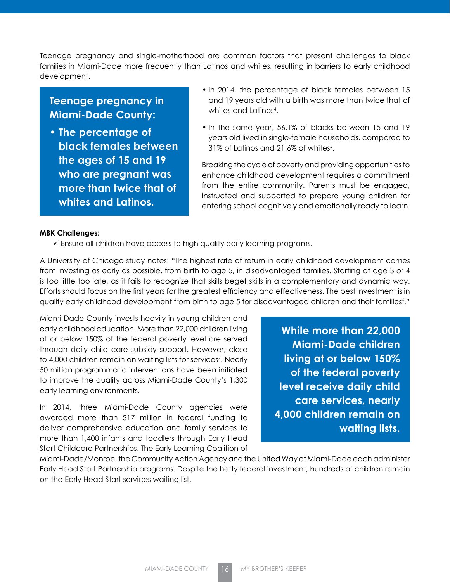Teenage pregnancy and single-motherhood are common factors that present challenges to black families in Miami-Dade more frequently than Latinos and whites, resulting in barriers to early childhood development.

# **Teenage pregnancy in Miami-Dade County:**

- **The percentage of black females between the ages of 15 and 19 who are pregnant was more than twice that of whites and Latinos.**
- In 2014, the percentage of black females between 15 and 19 years old with a birth was more than twice that of whites and Latinos4 .
- In the same year, 56.1% of blacks between 15 and 19 years old lived in single-female households, compared to  $31\%$  of Latinos and 21.6% of whites $^5$ .

Breaking the cycle of poverty and providing opportunities to enhance childhood development requires a commitment from the entire community. Parents must be engaged, instructed and supported to prepare young children for entering school cognitively and emotionally ready to learn.

#### **MBK Challenges:**

 $\checkmark$  Ensure all children have access to high quality early learning programs.

A University of Chicago study notes: "The highest rate of return in early childhood development comes from investing as early as possible, from birth to age 5, in disadvantaged families. Starting at age 3 or 4 is too little too late, as it fails to recognize that skills beget skills in a complementary and dynamic way. Efforts should focus on the first years for the greatest efficiency and effectiveness. The best investment is in quality early childhood development from birth to age 5 for disadvantaged children and their families<sup>6</sup>."

Miami-Dade County invests heavily in young children and early childhood education. More than 22,000 children living at or below 150% of the federal poverty level are served through daily child care subsidy support. However, close to 4,000 children remain on waiting lists for services<sup>7</sup>. Nearly 50 million programmatic interventions have been initiated to improve the quality across Miami-Dade County's 1,300 early learning environments.

In 2014, three Miami-Dade County agencies were awarded more than \$17 million in federal funding to deliver comprehensive education and family services to more than 1,400 infants and toddlers through Early Head Start Childcare Partnerships. The Early Learning Coalition of

**While more than 22,000 Miami-Dade children living at or below 150% of the federal poverty level receive daily child care services, nearly 4,000 children remain on waiting lists.**

Miami-Dade/Monroe, the Community Action Agency and the United Way of Miami-Dade each administer Early Head Start Partnership programs. Despite the hefty federal investment, hundreds of children remain on the Early Head Start services waiting list.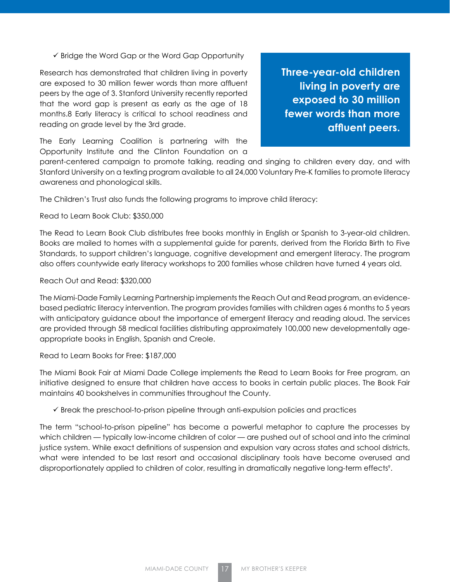$\checkmark$  Bridge the Word Gap or the Word Gap Opportunity

Research has demonstrated that children living in poverty are exposed to 30 million fewer words than more affluent peers by the age of 3. Stanford University recently reported that the word gap is present as early as the age of 18 months.8 Early literacy is critical to school readiness and reading on grade level by the 3rd grade.

**Three-year-old children living in poverty are exposed to 30 million fewer words than more affluent peers.**

The Early Learning Coalition is partnering with the Opportunity Institute and the Clinton Foundation on a

parent-centered campaign to promote talking, reading and singing to children every day, and with Stanford University on a texting program available to all 24,000 Voluntary Pre-K families to promote literacy awareness and phonological skills.

The Children's Trust also funds the following programs to improve child literacy:

#### Read to Learn Book Club: \$350,000

The Read to Learn Book Club distributes free books monthly in English or Spanish to 3-year-old children. Books are mailed to homes with a supplemental guide for parents, derived from the Florida Birth to Five Standards, to support children's language, cognitive development and emergent literacy. The program also offers countywide early literacy workshops to 200 families whose children have turned 4 years old.

#### Reach Out and Read: \$320,000

The Miami-Dade Family Learning Partnership implements the Reach Out and Read program, an evidencebased pediatric literacy intervention. The program provides families with children ages 6 months to 5 years with anticipatory guidance about the importance of emergent literacy and reading aloud. The services are provided through 58 medical facilities distributing approximately 100,000 new developmentally ageappropriate books in English, Spanish and Creole.

#### Read to Learn Books for Free: \$187,000

The Miami Book Fair at Miami Dade College implements the Read to Learn Books for Free program, an initiative designed to ensure that children have access to books in certain public places. The Book Fair maintains 40 bookshelves in communities throughout the County.

 $\checkmark$  Break the preschool-to-prison pipeline through anti-expulsion policies and practices

The term "school-to-prison pipeline" has become a powerful metaphor to capture the processes by which children — typically low-income children of color — are pushed out of school and into the criminal justice system. While exact definitions of suspension and expulsion vary across states and school districts, what were intended to be last resort and occasional disciplinary tools have become overused and disproportionately applied to children of color, resulting in dramatically negative long-term effects<sup>9</sup>.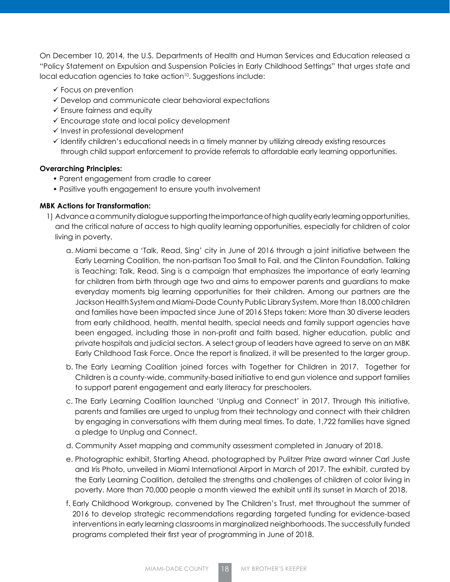On December 10, 2014, the U.S. Departments of Health and Human Services and Education released a "Policy Statement on Expulsion and Suspension Policies in Early Childhood Settings" that urges state and local education agencies to take action<sup>10</sup>. Suggestions include:

- $\checkmark$  Focus on prevention
- $\checkmark$  Develop and communicate clear behavioral expectations
- $\checkmark$  Ensure fairness and equity
- $\checkmark$  Encourage state and local policy development
- $\checkmark$  Invest in professional development
- $\checkmark$  Identify children's educational needs in a timely manner by utilizing already existing resources through child support enforcement to provide referrals to affordable early learning opportunities.

# **Overarching Principles:**

- Parent engagement from cradle to career
- Positive youth engagement to ensure youth involvement

# **MBK Actions for Transformation:**

- 1) Advance a community dialogue supporting the importance of high quality early learning opportunities, and the critical nature of access to high quality learning opportunities, especially for children of color living in poverty.
	- a. Miami became a 'Talk, Read, Sing' city in June of 2016 through a joint initiative between the Early Learning Coalition, the non-partisan Too Small to Fail, and the Clinton Foundation. Talking is Teaching: Talk, Read, Sing is a campaign that emphasizes the importance of early learning for children from birth through age two and aims to empower parents and guardians to make everyday moments big learning opportunities for their children. Among our partners are the Jackson Health System and Miami-Dade County Public Library System. More than 18,000 children and families have been impacted since June of 2016 Steps taken: More than 30 diverse leaders from early childhood, health, mental health, special needs and family support agencies have been engaged, including those in non-profit and faith based, higher education, public and private hospitals and judicial sectors. A select group of leaders have agreed to serve on an MBK Early Childhood Task Force. Once the report is finalized, it will be presented to the larger group.
	- b. The Early Learning Coalition joined forces with Together for Children in 2017. Together for Children is a county-wide, community-based initiative to end gun violence and support families to support parent engagement and early literacy for preschoolers.
	- c. The Early Learning Coalition launched 'Unplug and Connect' in 2017. Through this initiative, parents and families are urged to unplug from their technology and connect with their children by engaging in conversations with them during meal times. To date, 1,722 families have signed a pledge to Unplug and Connect.
	- d. Community Asset mapping and community assessment completed in January of 2018.
	- e. Photographic exhibit, Starting Ahead, photographed by Pulitzer Prize award winner Carl Juste and Iris Photo, unveiled in Miami International Airport in March of 2017. The exhibit, curated by the Early Learning Coalition, detailed the strengths and challenges of children of color living in poverty. More than 70,000 people a month viewed the exhibit until its sunset in March of 2018.
	- f. Early Childhood Workgroup, convened by The Children's Trust, met throughout the summer of 2016 to develop strategic recommendations regarding targeted funding for evidence-based interventions in early learning classrooms in marginalized neighborhoods. The successfully funded programs completed their first year of programming in June of 2018.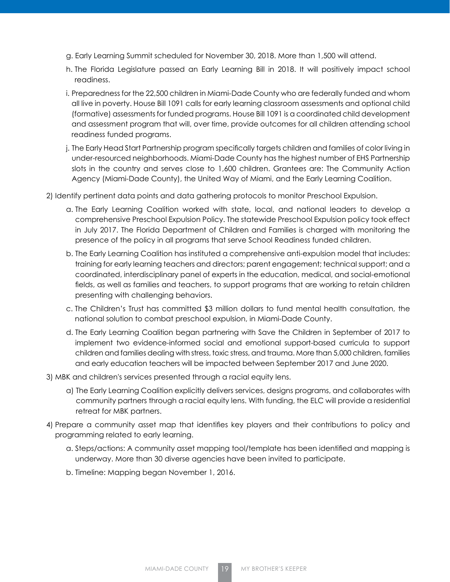- g. Early Learning Summit scheduled for November 30, 2018. More than 1,500 will attend.
- h. The Florida Legislature passed an Early Learning Bill in 2018. It will positively impact school readiness.
- i. Preparedness for the 22,500 children in Miami-Dade County who are federally funded and whom all live in poverty. House Bill 1091 calls for early learning classroom assessments and optional child (formative) assessments for funded programs. House Bill 1091 is a coordinated child development and assessment program that will, over time, provide outcomes for all children attending school readiness funded programs.
- j. The Early Head Start Partnership program specifically targets children and families of color living in under-resourced neighborhoods. Miami-Dade County has the highest number of EHS Partnership slots in the country and serves close to 1,600 children. Grantees are: The Community Action Agency (Miami-Dade County), the United Way of Miami, and the Early Learning Coalition.

2) Identify pertinent data points and data gathering protocols to monitor Preschool Expulsion.

- a. The Early Learning Coalition worked with state, local, and national leaders to develop a comprehensive Preschool Expulsion Policy. The statewide Preschool Expulsion policy took effect in July 2017. The Florida Department of Children and Families is charged with monitoring the presence of the policy in all programs that serve School Readiness funded children.
- b. The Early Learning Coalition has instituted a comprehensive anti-expulsion model that includes: training for early learning teachers and directors; parent engagement; technical support; and a coordinated, interdisciplinary panel of experts in the education, medical, and social-emotional fields, as well as families and teachers, to support programs that are working to retain children presenting with challenging behaviors.
- c. The Children's Trust has committed \$3 million dollars to fund mental health consultation, the national solution to combat preschool expulsion, in Miami-Dade County.
- d. The Early Learning Coalition began partnering with Save the Children in September of 2017 to implement two evidence-informed social and emotional support-based curricula to support children and families dealing with stress, toxic stress, and trauma. More than 5,000 children, families and early education teachers will be impacted between September 2017 and June 2020.
- 3) MBK and children's services presented through a racial equity lens.
	- a) The Early Learning Coalition explicitly delivers services, designs programs, and collaborates with community partners through a racial equity lens. With funding, the ELC will provide a residential retreat for MBK partners.
- 4) Prepare a community asset map that identifies key players and their contributions to policy and programming related to early learning.
	- a. Steps/actions: A community asset mapping tool/template has been identified and mapping is underway. More than 30 diverse agencies have been invited to participate.
	- b. Timeline: Mapping began November 1, 2016.